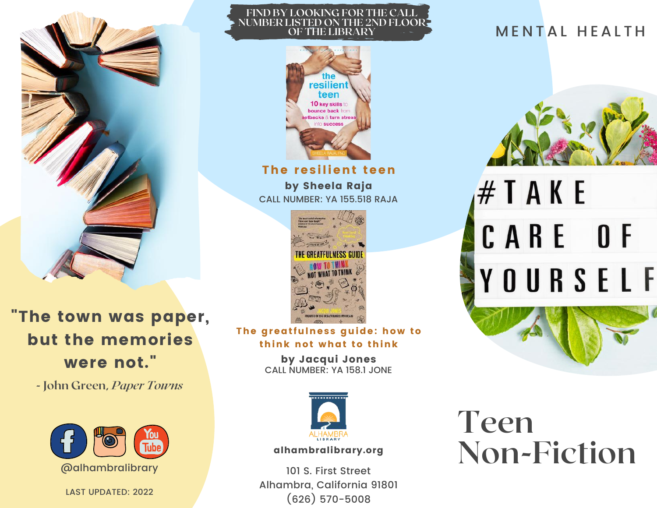

"The town was paper, but the memories were not."

**- John Green,** *Paper Towns*



LAST UPDATED: 2022

## **FIND BY LOOKING FOR THE CALL NUMBER LISTED ON THE 2ND FLOOR OF THE LIBRARY**



The resilient teen

by Sheela Raja CALL NUMBER: YA 155.518 RAJA



The greatfulness quide: how to think not what to think

> by Jacqui Jones CALL NUMBER: YA 158.1 JONE



alhambralibrary.org

101 S. First Street Alhambra, California 91801 (626) 570-5008

# MENTAL HEALTH



 $# T A K E$ CARE OF YOURSELF

# **Teen Non-Fiction**